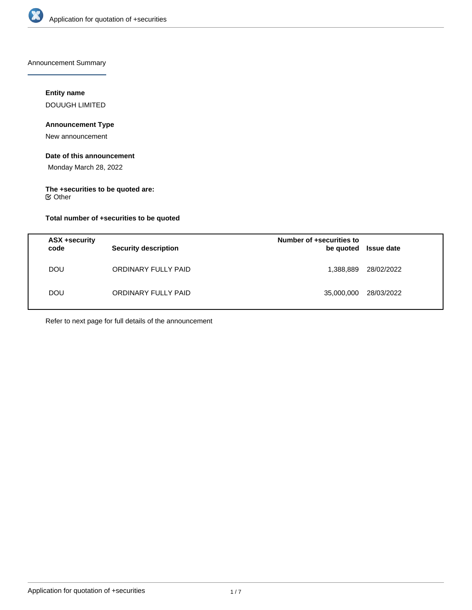

Announcement Summary

# **Entity name**

DOUUGH LIMITED

# **Announcement Type**

New announcement

# **Date of this announcement**

Monday March 28, 2022

# **The +securities to be quoted are:**

Other

# **Total number of +securities to be quoted**

| ASX +security<br>code | <b>Security description</b> | Number of +securities to<br>be quoted | <b>Issue date</b> |
|-----------------------|-----------------------------|---------------------------------------|-------------------|
| <b>DOU</b>            | ORDINARY FULLY PAID         | 1,388,889                             | 28/02/2022        |
| <b>DOU</b>            | ORDINARY FULLY PAID         | 35,000,000                            | 28/03/2022        |

Refer to next page for full details of the announcement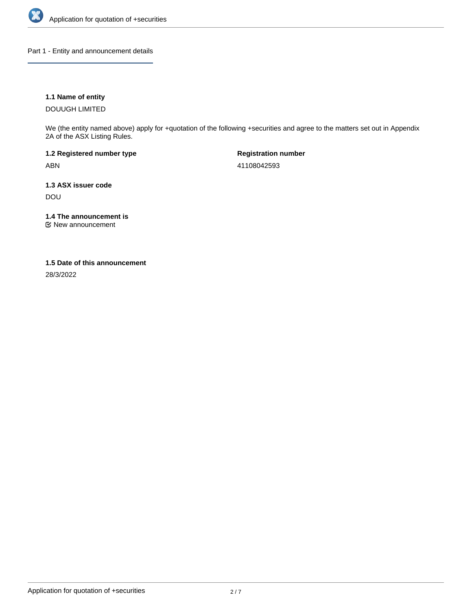

Part 1 - Entity and announcement details

## **1.1 Name of entity**

DOUUGH LIMITED

We (the entity named above) apply for +quotation of the following +securities and agree to the matters set out in Appendix 2A of the ASX Listing Rules.

**1.2 Registered number type** ABN

**Registration number** 41108042593

**1.3 ASX issuer code** DOU

**1.4 The announcement is**

New announcement

## **1.5 Date of this announcement**

28/3/2022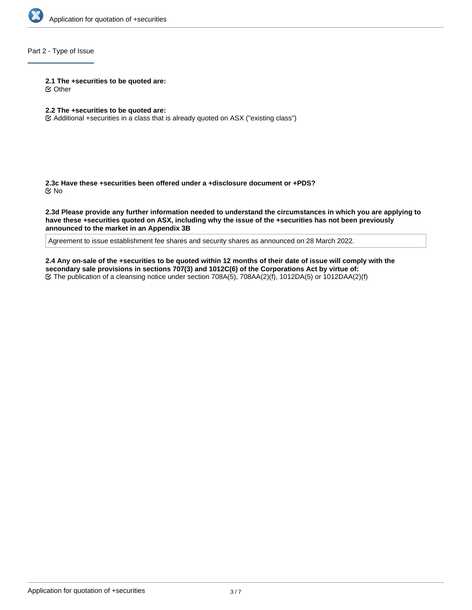

# Part 2 - Type of Issue

**2.1 The +securities to be quoted are:**

Other

- **2.2 The +securities to be quoted are:**
- Additional +securities in a class that is already quoted on ASX ("existing class")

**2.3c Have these +securities been offered under a +disclosure document or +PDS?** No

**2.3d Please provide any further information needed to understand the circumstances in which you are applying to have these +securities quoted on ASX, including why the issue of the +securities has not been previously announced to the market in an Appendix 3B**

Agreement to issue establishment fee shares and security shares as announced on 28 March 2022.

**2.4 Any on-sale of the +securities to be quoted within 12 months of their date of issue will comply with the secondary sale provisions in sections 707(3) and 1012C(6) of the Corporations Act by virtue of:** The publication of a cleansing notice under section 708A(5), 708AA(2)(f), 1012DA(5) or 1012DAA(2)(f)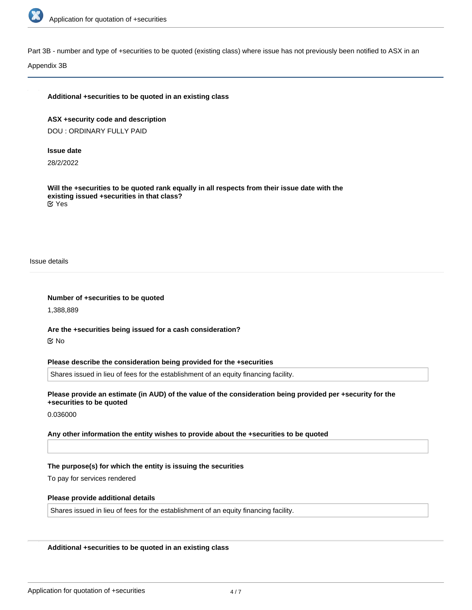

Part 3B - number and type of +securities to be quoted (existing class) where issue has not previously been notified to ASX in an

Appendix 3B

### **Additional +securities to be quoted in an existing class**

**ASX +security code and description** DOU : ORDINARY FULLY PAID

## **Issue date**

28/2/2022

**Will the +securities to be quoted rank equally in all respects from their issue date with the existing issued +securities in that class?** Yes

Issue details

#### **Number of +securities to be quoted**

1,388,889

**Are the +securities being issued for a cash consideration?** No

#### **Please describe the consideration being provided for the +securities**

Shares issued in lieu of fees for the establishment of an equity financing facility.

## **Please provide an estimate (in AUD) of the value of the consideration being provided per +security for the +securities to be quoted**

0.036000

#### **Any other information the entity wishes to provide about the +securities to be quoted**

## **The purpose(s) for which the entity is issuing the securities**

To pay for services rendered

#### **Please provide additional details**

Shares issued in lieu of fees for the establishment of an equity financing facility.

## **Additional +securities to be quoted in an existing class**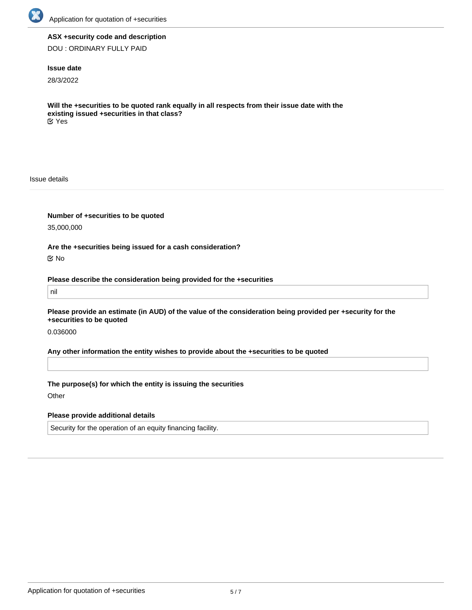

## **ASX +security code and description**

DOU : ORDINARY FULLY PAID

## **Issue date**

28/3/2022

**Will the +securities to be quoted rank equally in all respects from their issue date with the existing issued +securities in that class?** Yes

Issue details

**Number of +securities to be quoted**

35,000,000

**Are the +securities being issued for a cash consideration?**

No

**Please describe the consideration being provided for the +securities**

nil

**Please provide an estimate (in AUD) of the value of the consideration being provided per +security for the +securities to be quoted**

0.036000

**Any other information the entity wishes to provide about the +securities to be quoted**

**The purpose(s) for which the entity is issuing the securities**

**Other** 

**Please provide additional details**

Security for the operation of an equity financing facility.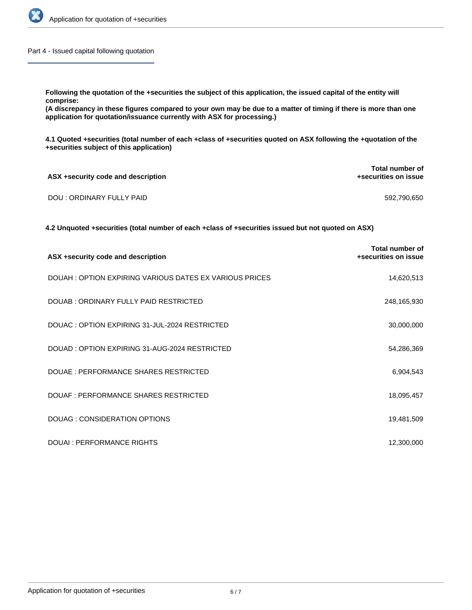

Part 4 - Issued capital following quotation

**comprise:**

**(A discrepancy in these figures compared to your own may be due to a matter of timing if there is more than one application for quotation/issuance currently with ASX for processing.)**

**4.1 Quoted +securities (total number of each +class of +securities quoted on ASX following the +quotation of the +securities subject of this application)**

| ASX +security code and description | <b>Total number of</b><br>+securities on issue |
|------------------------------------|------------------------------------------------|
| DOU : ORDINARY FULLY PAID          | 592,790,650                                    |

**4.2 Unquoted +securities (total number of each +class of +securities issued but not quoted on ASX)**

| ASX +security code and description                     | Total number of<br>+securities on issue |
|--------------------------------------------------------|-----------------------------------------|
| DOUAH: OPTION EXPIRING VARIOUS DATES EX VARIOUS PRICES | 14,620,513                              |
| DOUAB: ORDINARY FULLY PAID RESTRICTED                  | 248,165,930                             |
| DOUAC: OPTION EXPIRING 31-JUL-2024 RESTRICTED          | 30,000,000                              |
| DOUAD: OPTION EXPIRING 31-AUG-2024 RESTRICTED          | 54,286,369                              |
| DOUAE : PERFORMANCE SHARES RESTRICTED                  | 6,904,543                               |
| DOUAF : PERFORMANCE SHARES RESTRICTED                  | 18,095,457                              |
| DOUAG: CONSIDERATION OPTIONS                           | 19,481,509                              |
| DOUAL: PERFORMANCE RIGHTS                              | 12,300,000                              |